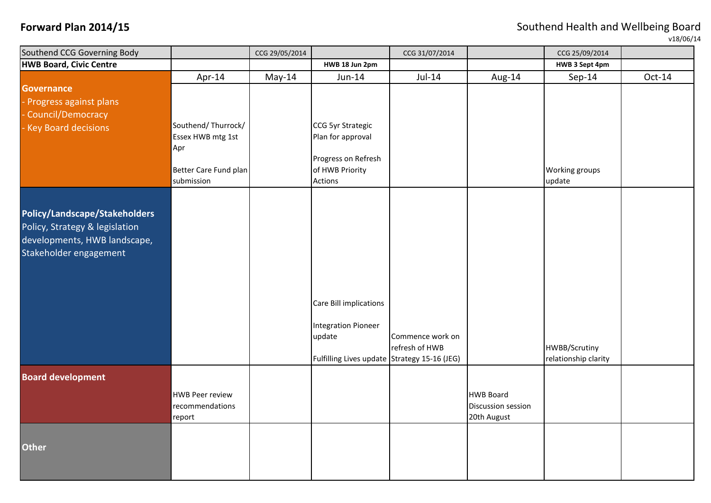**Forward Plan 2014/15 Forward Plan 2014/15 Southend Health and Wellbeing Board** 

v18/06/14

| Southend CCG Governing Body    |                        | CCG 29/05/2014 |                                              | CCG 31/07/2014   |                    | CCG 25/09/2014       |          |
|--------------------------------|------------------------|----------------|----------------------------------------------|------------------|--------------------|----------------------|----------|
| <b>HWB Board, Civic Centre</b> |                        |                | HWB 18 Jun 2pm                               |                  |                    | HWB 3 Sept 4pm       |          |
|                                | Apr-14                 | May-14         | Jun-14                                       | $Jul-14$         | Aug-14             | $Sep-14$             | $Oct-14$ |
| <b>Governance</b>              |                        |                |                                              |                  |                    |                      |          |
| Progress against plans         |                        |                |                                              |                  |                    |                      |          |
| Council/Democracy              |                        |                |                                              |                  |                    |                      |          |
| <b>Key Board decisions</b>     | Southend/Thurrock/     |                | CCG 5yr Strategic                            |                  |                    |                      |          |
|                                | Essex HWB mtg 1st      |                | Plan for approval                            |                  |                    |                      |          |
|                                | Apr                    |                | Progress on Refresh                          |                  |                    |                      |          |
|                                | Better Care Fund plan  |                | of HWB Priority                              |                  |                    | Working groups       |          |
|                                | submission             |                | <b>Actions</b>                               |                  |                    | update               |          |
|                                |                        |                |                                              |                  |                    |                      |          |
|                                |                        |                |                                              |                  |                    |                      |          |
| Policy/Landscape/Stakeholders  |                        |                |                                              |                  |                    |                      |          |
| Policy, Strategy & legislation |                        |                |                                              |                  |                    |                      |          |
| developments, HWB landscape,   |                        |                |                                              |                  |                    |                      |          |
| Stakeholder engagement         |                        |                |                                              |                  |                    |                      |          |
|                                |                        |                |                                              |                  |                    |                      |          |
|                                |                        |                |                                              |                  |                    |                      |          |
|                                |                        |                |                                              |                  |                    |                      |          |
|                                |                        |                | Care Bill implications                       |                  |                    |                      |          |
|                                |                        |                | <b>Integration Pioneer</b>                   |                  |                    |                      |          |
|                                |                        |                | update                                       | Commence work on |                    |                      |          |
|                                |                        |                |                                              | refresh of HWB   |                    | HWBB/Scrutiny        |          |
|                                |                        |                | Fulfilling Lives update Strategy 15-16 (JEG) |                  |                    | relationship clarity |          |
| <b>Board development</b>       |                        |                |                                              |                  |                    |                      |          |
|                                | <b>HWB Peer review</b> |                |                                              |                  | <b>HWB Board</b>   |                      |          |
|                                | recommendations        |                |                                              |                  | Discussion session |                      |          |
|                                | report                 |                |                                              |                  | 20th August        |                      |          |
|                                |                        |                |                                              |                  |                    |                      |          |
| <b>Other</b>                   |                        |                |                                              |                  |                    |                      |          |
|                                |                        |                |                                              |                  |                    |                      |          |
|                                |                        |                |                                              |                  |                    |                      |          |
|                                |                        |                |                                              |                  |                    |                      |          |